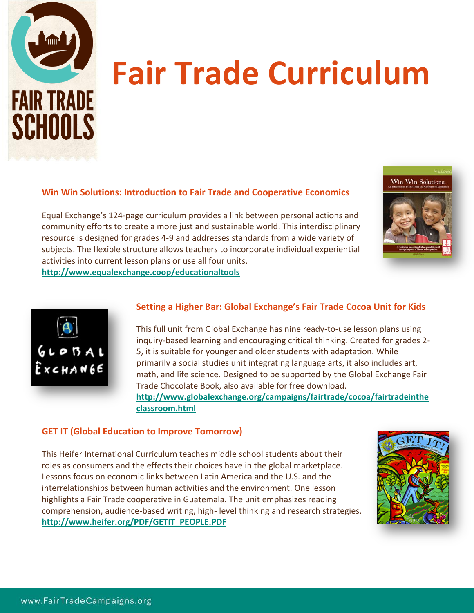

# FAIR TRADE **Fair Trade Curriculum**

## **Win Win Solutions: Introduction to Fair Trade and Cooperative Economics**

Equal Exchange's 124-page curriculum provides a link between personal actions and community efforts to create a more just and sustainable world. This interdisciplinary resource is designed for grades 4-9 and addresses standards from a wide variety of subjects. The flexible structure allows teachers to incorporate individual experiential activities into current lesson plans or use all four units.



**<http://www.equalexchange.coop/educationaltools>**



## **Setting a Higher Bar: Global Exchange's Fair Trade Cocoa Unit for Kids**

This full unit from Global Exchange has nine ready-to-use lesson plans using inquiry-based learning and encouraging critical thinking. Created for grades 2- 5, it is suitable for younger and older students with adaptation. While primarily a social studies unit integrating language arts, it also includes art, math, and life science. Designed to be supported by the Global Exchange Fair Trade Chocolate Book, also available for free download. **[http://www.globalexchange.org/campaigns/fairtrade/cocoa/fairtradeinthe](http://www.globalexchange.org/campaigns/fairtrade/cocoa/fairtradeinthe%20%20%20%20classroom.html)  [classroom.html](http://www.globalexchange.org/campaigns/fairtrade/cocoa/fairtradeinthe%20%20%20%20classroom.html)**

### **GET IT (Global Education to Improve Tomorrow)**

This Heifer International Curriculum teaches middle school students about their roles as consumers and the effects their choices have in the global marketplace. Lessons focus on economic links between Latin America and the U.S. and the interrelationships between human activities and the environment. One lesson highlights a Fair Trade cooperative in Guatemala. The unit emphasizes reading comprehension, audience-based writing, high- level thinking and research strategies. **[http://www.heifer.org/PDF/GETIT\\_PEOPLE.PDF](http://www.heifer.org/PDF/GETIT_PEOPLE.PDF)**